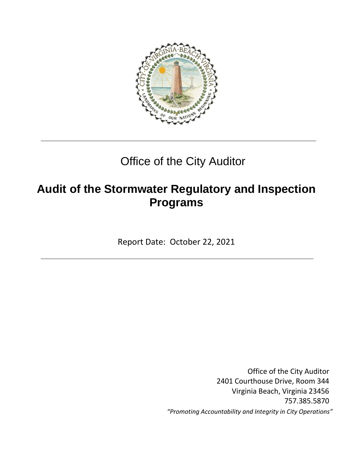

# Office of the City Auditor

# **Audit of the Stormwater Regulatory and Inspection Programs**

Report Date: October 22, 2021

Office of the City Auditor 2401 Courthouse Drive, Room 344 Virginia Beach, Virginia 23456 757.385.5870 *"Promoting Accountability and Integrity in City Operations"*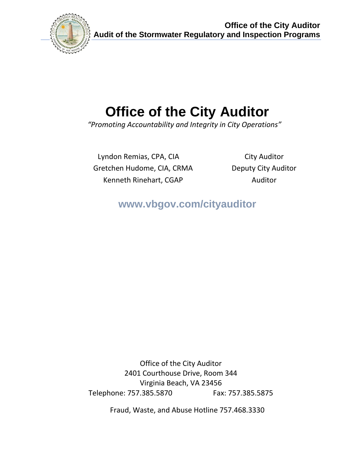

**Office of the City Auditor Audit of the Stormwater Regulatory and Inspection Programs**

# **Office of the City Auditor**

 *"Promoting Accountability and Integrity in City Operations"*

Lyndon Remias, CPA, CIA City Auditor Gretchen Hudome, CIA, CRMA Deputy City Auditor Kenneth Rinehart, CGAP Auditor

**www.vbgov.com/cityauditor**

Office of the City Auditor 2401 Courthouse Drive, Room 344 Virginia Beach, VA 23456 Telephone: 757.385.5870 Fax: 757.385.5875

Fraud, Waste, and Abuse Hotline 757.468.3330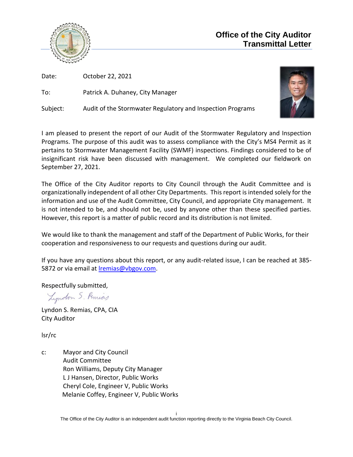

Date: October 22, 2021

To: Patrick A. Duhaney, City Manager

Subject: Audit of the Stormwater Regulatory and Inspection Programs



I am pleased to present the report of our Audit of the Stormwater Regulatory and Inspection Programs. The purpose of this audit was to assess compliance with the City's MS4 Permit as it pertains to Stormwater Management Facility (SWMF) inspections. Findings considered to be of insignificant risk have been discussed with management. We completed our fieldwork on September 27, 2021.

The Office of the City Auditor reports to City Council through the Audit Committee and is organizationally independent of all other City Departments. This report is intended solely for the information and use of the Audit Committee, City Council, and appropriate City management. It is not intended to be, and should not be, used by anyone other than these specified parties. However, this report is a matter of public record and its distribution is not limited.

We would like to thank the management and staff of the Department of Public Works, for their cooperation and responsiveness to our requests and questions during our audit.

If you have any questions about this report, or any audit-related issue, I can be reached at 385- 5872 or via email at [lremias@vbgov.com.](mailto:lremias@vbgov.com)

Respectfully submitted,

Lyndon S. Remias

Lyndon S. Remias, CPA, CIA City Auditor

lsr/rc

c: Mayor and City Council Audit Committee Ron Williams, Deputy City Manager L J Hansen, Director, Public Works Cheryl Cole, Engineer V, Public Works Melanie Coffey, Engineer V, Public Works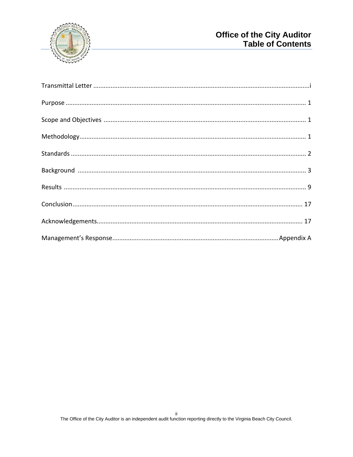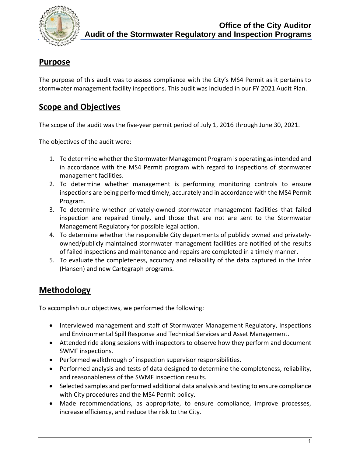

## **Purpose**

The purpose of this audit was to assess compliance with the City's MS4 Permit as it pertains to stormwater management facility inspections. This audit was included in our FY 2021 Audit Plan.

## **Scope and Objectives**

The scope of the audit was the five-year permit period of July 1, 2016 through June 30, 2021.

The objectives of the audit were:

- 1. To determine whether the Stormwater Management Program is operating as intended and in accordance with the MS4 Permit program with regard to inspections of stormwater management facilities.
- 2. To determine whether management is performing monitoring controls to ensure inspections are being performed timely, accurately and in accordance with the MS4 Permit Program.
- 3. To determine whether privately-owned stormwater management facilities that failed inspection are repaired timely, and those that are not are sent to the Stormwater Management Regulatory for possible legal action.
- 4. To determine whether the responsible City departments of publicly owned and privatelyowned/publicly maintained stormwater management facilities are notified of the results of failed inspections and maintenance and repairs are completed in a timely manner.
- 5. To evaluate the completeness, accuracy and reliability of the data captured in the Infor (Hansen) and new Cartegraph programs.

## **Methodology**

To accomplish our objectives, we performed the following:

- Interviewed management and staff of Stormwater Management Regulatory, Inspections and Environmental Spill Response and Technical Services and Asset Management.
- Attended ride along sessions with inspectors to observe how they perform and document SWMF inspections.
- Performed walkthrough of inspection supervisor responsibilities.
- Performed analysis and tests of data designed to determine the completeness, reliability, and reasonableness of the SWMF inspection results.
- Selected samples and performed additional data analysis and testing to ensure compliance with City procedures and the MS4 Permit policy.
- Made recommendations, as appropriate, to ensure compliance, improve processes, increase efficiency, and reduce the risk to the City.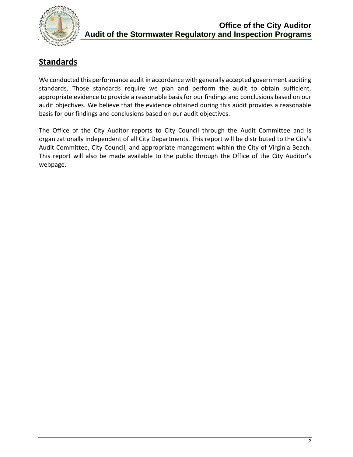

# **Standards**

We conducted this performance audit in accordance with generally accepted government auditing standards. Those standards require we plan and perform the audit to obtain sufficient, appropriate evidence to provide a reasonable basis for our findings and conclusions based on our audit objectives. We believe that the evidence obtained during this audit provides a reasonable basis for our findings and conclusions based on our audit objectives.

The Office of the City Auditor reports to City Council through the Audit Committee and is organizationally independent of all City Departments. This report will be distributed to the City's Audit Committee, City Council, and appropriate management within the City of Virginia Beach. This report will also be made available to the public through the Office of the City Auditor's webpage.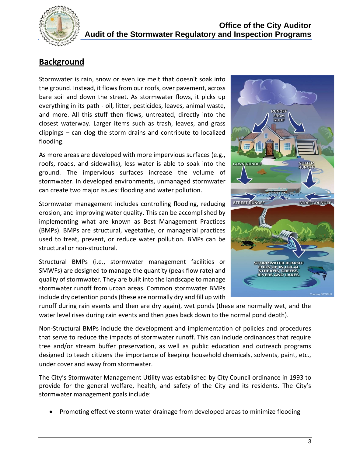

## **Background**

Stormwater is rain, snow or even ice melt that doesn't soak into the ground. Instead, it flows from our roofs, over pavement, across bare soil and down the street. As stormwater flows, it picks up everything in its path - oil, litter, pesticides, leaves, animal waste, and more. All this stuff then flows, untreated, directly into the closest waterway. Larger items such as trash, leaves, and grass clippings – can clog the storm drains and contribute to localized flooding.

As more areas are developed with more impervious surfaces (e.g., roofs, roads, and sidewalks), less water is able to soak into the ground. The impervious surfaces increase the volume of stormwater. In developed environments, unmanaged stormwater can create two major issues: flooding and water pollution.

Stormwater management includes controlling flooding, reducing erosion, and improving water quality. This can be accomplished by implementing what are known as Best Management Practices (BMPs). BMPs are structural, vegetative, or managerial practices used to treat, prevent, or reduce water pollution. BMPs can be structural or non-structural.

Structural BMPs (i.e., stormwater management facilities or SMWFs) are designed to manage the quantity (peak flow rate) and quality of stormwater. They are built into the landscape to manage stormwater runoff from urban areas. Common stormwater BMPs include dry detention ponds (these are normally dry and fill up with



runoff during rain events and then are dry again), wet ponds (these are normally wet, and the water level rises during rain events and then goes back down to the normal pond depth).

Non-Structural BMPs include the development and implementation of policies and procedures that serve to reduce the impacts of stormwater runoff. This can include ordinances that require tree and/or stream buffer preservation, as well as public education and outreach programs designed to teach citizens the importance of keeping household chemicals, solvents, paint, etc., under cover and away from stormwater.

The City's Stormwater Management Utility was established by City Council ordinance in 1993 to provide for the general welfare, health, and safety of the City and its residents. The City's stormwater management goals include:

• Promoting effective storm water drainage from developed areas to minimize flooding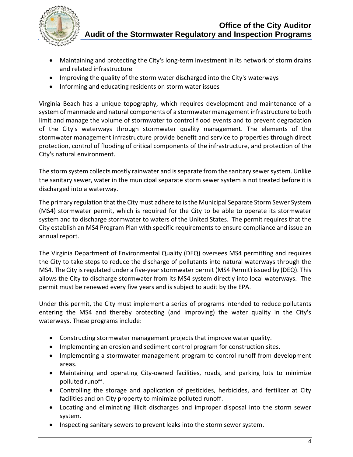

- Maintaining and protecting the City's long-term investment in its network of storm drains and related infrastructure
- Improving the quality of the storm water discharged into the City's waterways
- Informing and educating residents on storm water issues

Virginia Beach has a unique topography, which requires development and maintenance of a system of manmade and natural components of a stormwater management infrastructure to both limit and manage the volume of stormwater to control flood events and to prevent degradation of the City's waterways through stormwater quality management. The elements of the stormwater management infrastructure provide benefit and service to properties through direct protection, control of flooding of critical components of the infrastructure, and protection of the City's natural environment.

The storm system collects mostly rainwater and is separate from the sanitary sewer system. Unlike the sanitary sewer, water in the municipal separate storm sewer system is not treated before it is discharged into a waterway.

The primary regulation that the City must adhere to is the Municipal Separate Storm Sewer System (MS4) stormwater permit, which is required for the City to be able to operate its stormwater system and to discharge stormwater to waters of the United States. The permit requires that the City establish an MS4 Program Plan with specific requirements to ensure compliance and issue an annual report.

The Virginia Department of Environmental Quality (DEQ) oversees MS4 permitting and requires the City to take steps to reduce the discharge of pollutants into natural waterways through the MS4. The City is regulated under a five-year stormwater permit (MS4 Permit) issued by (DEQ). This allows the City to discharge stormwater from its MS4 system directly into local waterways. The permit must be renewed every five years and is subject to audit by the EPA.

Under this permit, the City must implement a series of programs intended to reduce pollutants entering the MS4 and thereby protecting (and improving) the water quality in the City's waterways. These programs include:

- Constructing stormwater management projects that improve water quality.
- Implementing an erosion and sediment control program for construction sites.
- Implementing a stormwater management program to control runoff from development areas.
- Maintaining and operating City-owned facilities, roads, and parking lots to minimize polluted runoff.
- Controlling the storage and application of pesticides, herbicides, and fertilizer at City facilities and on City property to minimize polluted runoff.
- Locating and eliminating illicit discharges and improper disposal into the storm sewer system.
- Inspecting sanitary sewers to prevent leaks into the storm sewer system.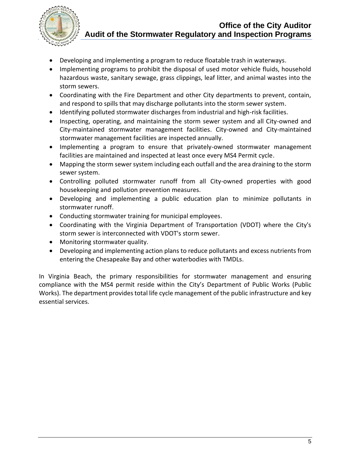

- Developing and implementing a program to reduce floatable trash in waterways.
- Implementing programs to prohibit the disposal of used motor vehicle fluids, household hazardous waste, sanitary sewage, grass clippings, leaf litter, and animal wastes into the storm sewers.
- Coordinating with the Fire Department and other City departments to prevent, contain, and respond to spills that may discharge pollutants into the storm sewer system.
- Identifying polluted stormwater discharges from industrial and high-risk facilities.
- Inspecting, operating, and maintaining the storm sewer system and all City-owned and City-maintained stormwater management facilities. City-owned and City-maintained stormwater management facilities are inspected annually.
- Implementing a program to ensure that privately-owned stormwater management facilities are maintained and inspected at least once every MS4 Permit cycle.
- Mapping the storm sewer system including each outfall and the area draining to the storm sewer system.
- Controlling polluted stormwater runoff from all City-owned properties with good housekeeping and pollution prevention measures.
- Developing and implementing a public education plan to minimize pollutants in stormwater runoff.
- Conducting stormwater training for municipal employees.
- Coordinating with the Virginia Department of Transportation (VDOT) where the City's storm sewer is interconnected with VDOT's storm sewer.
- Monitoring stormwater quality.
- Developing and implementing action plans to reduce pollutants and excess nutrients from entering the Chesapeake Bay and other waterbodies with TMDLs.

In Virginia Beach, the primary responsibilities for stormwater management and ensuring compliance with the MS4 permit reside within the City's Department of Public Works (Public Works). The department provides total life cycle management of the public infrastructure and key essential services.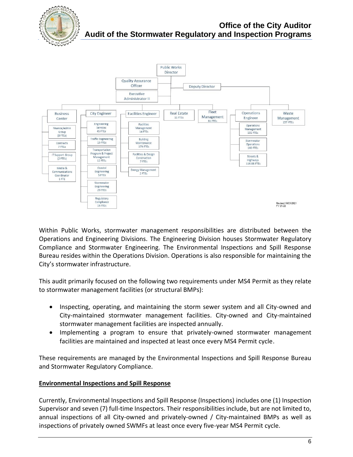



Within Public Works, stormwater management responsibilities are distributed between the Operations and Engineering Divisions. The Engineering Division houses Stormwater Regulatory Compliance and Stormwater Engineering. The Environmental Inspections and Spill Response Bureau resides within the Operations Division. Operations is also responsible for maintaining the City's stormwater infrastructure.

This audit primarily focused on the following two requirements under MS4 Permit as they relate to stormwater management facilities (or structural BMPs):

- Inspecting, operating, and maintaining the storm sewer system and all City-owned and City-maintained stormwater management facilities. City-owned and City-maintained stormwater management facilities are inspected annually.
- Implementing a program to ensure that privately-owned stormwater management facilities are maintained and inspected at least once every MS4 Permit cycle.

These requirements are managed by the Environmental Inspections and Spill Response Bureau and Stormwater Regulatory Compliance.

## **Environmental Inspections and Spill Response**

Currently, Environmental Inspections and Spill Response (Inspections) includes one (1) Inspection Supervisor and seven (7) full-time Inspectors. Their responsibilities include, but are not limited to, annual inspections of all City-owned and privately-owned / City-maintained BMPs as well as inspections of privately owned SWMFs at least once every five-year MS4 Permit cycle.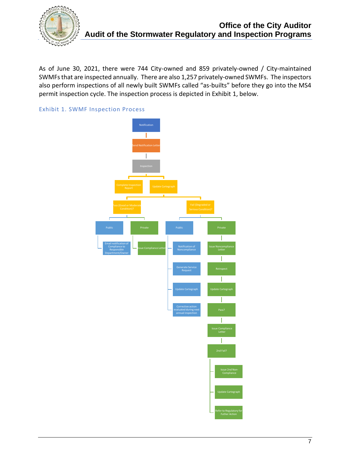

As of June 30, 2021, there were 744 City-owned and 859 privately-owned / City-maintained SWMFs that are inspected annually. There are also 1,257 privately-owned SWMFs. The inspectors also perform inspections of all newly built SWMFs called "as-builts" before they go into the MS4 permit inspection cycle. The inspection process is depicted in Exhibit 1, below.



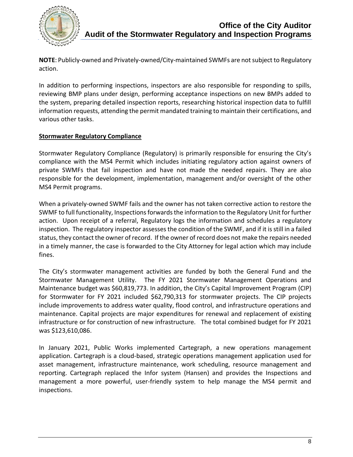

**NOTE**: Publicly-owned and Privately-owned/City-maintained SWMFs are not subject to Regulatory action.

In addition to performing inspections, inspectors are also responsible for responding to spills, reviewing BMP plans under design, performing acceptance inspections on new BMPs added to the system, preparing detailed inspection reports, researching historical inspection data to fulfill information requests, attending the permit mandated training to maintain their certifications, and various other tasks.

## **Stormwater Regulatory Compliance**

Stormwater Regulatory Compliance (Regulatory) is primarily responsible for ensuring the City's compliance with the MS4 Permit which includes initiating regulatory action against owners of private SWMFs that fail inspection and have not made the needed repairs. They are also responsible for the development, implementation, management and/or oversight of the other MS4 Permit programs.

When a privately-owned SWMF fails and the owner has not taken corrective action to restore the SWMF to full functionality, Inspections forwards the information to the Regulatory Unit for further action. Upon receipt of a referral, Regulatory logs the information and schedules a regulatory inspection. The regulatory inspector assessesthe condition of the SWMF, and if it is still in a failed status, they contact the owner of record. If the owner of record does not make the repairs needed in a timely manner, the case is forwarded to the City Attorney for legal action which may include fines.

The City's stormwater management activities are funded by both the General Fund and the Stormwater Management Utility. The FY 2021 Stormwater Management Operations and Maintenance budget was \$60,819,773. In addition, the City's Capital Improvement Program (CIP) for Stormwater for FY 2021 included \$62,790,313 for stormwater projects. The CIP projects include improvements to address water quality, flood control, and infrastructure operations and maintenance. Capital projects are major expenditures for renewal and replacement of existing infrastructure or for construction of new infrastructure. The total combined budget for FY 2021 was \$123,610,086.

In January 2021, Public Works implemented Cartegraph, a new operations management application. Cartegraph is a cloud-based, strategic operations management application used for asset management, infrastructure maintenance, work scheduling, resource management and reporting. Cartegraph replaced the Infor system (Hansen) and provides the Inspections and management a more powerful, user-friendly system to help manage the MS4 permit and inspections.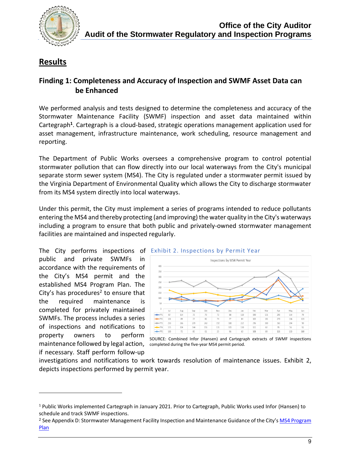

## **Results**

## **Finding 1: Completeness and Accuracy of Inspection and SWMF Asset Data can be Enhanced**

We performed analysis and tests designed to determine the completeness and accuracy of the Stormwater Maintenance Facility (SWMF) inspection and asset data maintained within Cartegraph<sup>1</sup>. Cartegraph is a cloud-based, strategic operations management application used for asset management, infrastructure maintenance, work scheduling, resource management and reporting.

The Department of Public Works oversees a comprehensive program to control potential stormwater pollution that can flow directly into our local waterways from the City's municipal separate storm sewer system (MS4). The City is regulated under a stormwater permit issued by the Virginia Department of Environmental Quality which allows the City to discharge stormwater from its MS4 system directly into local waterways.

Under this permit, the City must implement a series of programs intended to reduce pollutants entering the MS4 and thereby protecting (and improving) the water quality in the City's waterways including a program to ensure that both public and privately-owned stormwater management facilities are maintained and inspected regularly.

public and private SWMFs in accordance with the requirements of the City's MS4 permit and the established MS4 Program Plan. The City's has procedures<sup>2</sup> to ensure that the required maintenance is completed for privately maintained SWMFs. The process includes a series of inspections and notifications to property owners to perform maintenance followed by legal action, completed during the five-year MS4 permit period.if necessary. Staff perform follow-up



SOURCE: Combined Infor (Hansen) and Cartegraph extracts of SWMF inspections

investigations and notifications to work towards resolution of maintenance issues. Exhibit 2, depicts inspections performed by permit year.

<sup>1</sup> Public Works implemented Cartegraph in January 2021. Prior to Cartegraph, Public Works used Infor (Hansen) to schedule and track SWMF inspections.

<sup>&</sup>lt;sup>2</sup> See Appendix D: Stormwater Management Facility Inspection and Maintenance Guidance of the City's MS4 Program [Plan](https://www.vbgov.com/government/departments/public-works/surface-water-regulation/Documents/Plans/MS4ProgramPlan.pdf)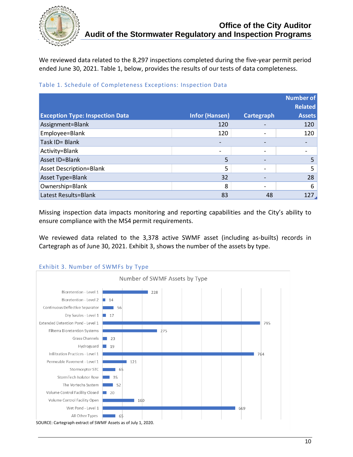

We reviewed data related to the 8,297 inspections completed during the five-year permit period ended June 30, 2021. Table 1, below, provides the results of our tests of data completeness.

|                                        |                       |                          | Number of<br><b>Related</b> |
|----------------------------------------|-----------------------|--------------------------|-----------------------------|
| <b>Exception Type: Inspection Data</b> | <b>Infor (Hansen)</b> | <b>Cartegraph</b>        | <b>Assets</b>               |
| Assignment=Blank                       | 120                   |                          | 120                         |
| Employee=Blank                         | 120                   | $\overline{\phantom{0}}$ | 120                         |
| Task ID= Blank                         |                       |                          |                             |
| Activity=Blank                         |                       |                          |                             |
| Asset ID=Blank                         | 5                     |                          | 5                           |
| <b>Asset Description=Blank</b>         | 5                     |                          | 5                           |
| Asset Type=Blank                       | 32                    |                          | 28                          |
| Ownership=Blank                        | 8                     |                          | 6                           |
| Latest Results=Blank                   | 83                    | 48                       | 127.                        |

#### Table 1. Schedule of Completeness Exceptions: Inspection Data

Missing inspection data impacts monitoring and reporting capabilities and the City's ability to ensure compliance with the MS4 permit requirements.

We reviewed data related to the 3,378 active SWMF asset (including as-builts) records in Cartegraph as of June 30, 2021. Exhibit 3, shows the number of the assets by type.



### Exhibit 3. Number of SWMFs by Type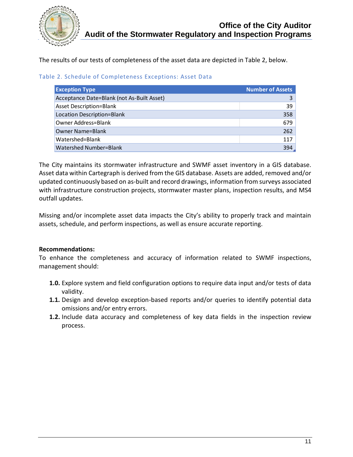

The results of our tests of completeness of the asset data are depicted in Table 2, below.

|  |  | Table 2. Schedule of Completeness Exceptions: Asset Data |
|--|--|----------------------------------------------------------|
|--|--|----------------------------------------------------------|

| <b>Exception Type</b>                      | <b>Number of Assets</b> |
|--------------------------------------------|-------------------------|
| Acceptance Date=Blank (not As-Built Asset) |                         |
| <b>Asset Description=Blank</b>             | 39                      |
| Location Description=Blank                 | 358                     |
| Owner Address=Blank                        | 679                     |
| Owner Name=Blank                           | 262                     |
| Watershed=Blank                            | 117                     |
| Watershed Number=Blank                     | 394.                    |

The City maintains its stormwater infrastructure and SWMF asset inventory in a GIS database. Asset data within Cartegraph is derived from the GIS database. Assets are added, removed and/or updated continuously based on as-built and record drawings, information from surveys associated with infrastructure construction projects, stormwater master plans, inspection results, and MS4 outfall updates.

Missing and/or incomplete asset data impacts the City's ability to properly track and maintain assets, schedule, and perform inspections, as well as ensure accurate reporting.

### **Recommendations:**

To enhance the completeness and accuracy of information related to SWMF inspections, management should:

- **1.0.** Explore system and field configuration options to require data input and/or tests of data validity.
- **1.1.** Design and develop exception-based reports and/or queries to identify potential data omissions and/or entry errors.
- **1.2.** Include data accuracy and completeness of key data fields in the inspection review process.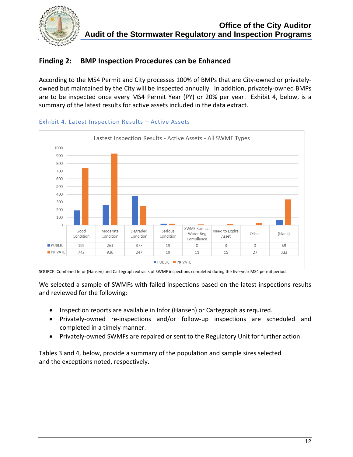

## **Finding 2: BMP Inspection Procedures can be Enhanced**

According to the MS4 Permit and City processes 100% of BMPs that are City-owned or privatelyowned but maintained by the City will be inspected annually. In addition, privately-owned BMPs are to be inspected once every MS4 Permit Year (PY) or 20% per year. Exhibit 4, below, is a summary of the latest results for active assets included in the data extract.



#### Exhibit 4. Latest Inspection Results – Active Assets

SOURCE: Combined Infor (Hansen) and Cartegraph extracts of SWMF inspections completed during the five-year MS4 permit period.

We selected a sample of SWMFs with failed inspections based on the latest inspections results and reviewed for the following:

- Inspection reports are available in Infor (Hansen) or Cartegraph as required.
- Privately-owned re-inspections and/or follow-up inspections are scheduled and completed in a timely manner.
- Privately-owned SWMFs are repaired or sent to the Regulatory Unit for further action.

Tables 3 and 4, below, provide a summary of the population and sample sizes selected and the exceptions noted, respectively.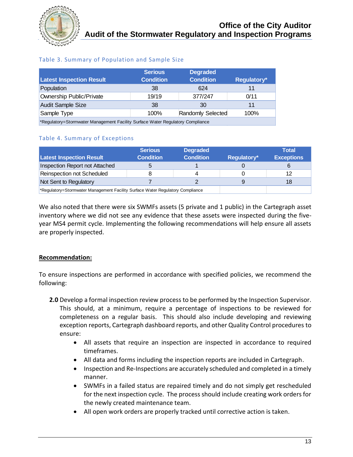

## Table 3. Summary of Population and Sample Size

| <b>Latest Inspection Result</b>                                                | <b>Serious</b><br><b>Condition</b> | <b>Degraded</b><br><b>Condition</b> | Regulatory* |  |
|--------------------------------------------------------------------------------|------------------------------------|-------------------------------------|-------------|--|
| Population                                                                     | 38                                 | 624                                 |             |  |
| <b>Ownership Public/Private</b>                                                | 19/19                              | 377/247                             | 0/11        |  |
| <b>Audit Sample Size</b>                                                       | 38                                 | 30                                  | 11          |  |
| Sample Type                                                                    | 100%                               | Randomly Selected                   | 100%        |  |
| *Regulatory=Stormwater Management Facility Surface Water Regulatory Compliance |                                    |                                     |             |  |

Table 4. Summary of Exceptions

|                                                                                | <b>Serious</b>   | <b>Degraded</b>  |             | Total             |
|--------------------------------------------------------------------------------|------------------|------------------|-------------|-------------------|
| <b>Latest Inspection Result</b>                                                | <b>Condition</b> | <b>Condition</b> | Regulatory* | <b>Exceptions</b> |
| Inspection Report not Attached                                                 |                  |                  |             |                   |
| Reinspection not Scheduled                                                     |                  |                  |             | 12                |
| Not Sent to Regulatory                                                         |                  |                  | 9           | 18                |
| *Regulatory=Stormwater Management Facility Surface Water Regulatory Compliance |                  |                  |             |                   |

We also noted that there were six SWMFs assets (5 private and 1 public) in the Cartegraph asset inventory where we did not see any evidence that these assets were inspected during the fiveyear MS4 permit cycle. Implementing the following recommendations will help ensure all assets are properly inspected.

### **Recommendation:**

To ensure inspections are performed in accordance with specified policies, we recommend the following:

- **2.0** Develop a formal inspection review process to be performed by the Inspection Supervisor. This should, at a minimum, require a percentage of inspections to be reviewed for completeness on a regular basis. This should also include developing and reviewing exception reports, Cartegraph dashboard reports, and other Quality Control procedures to ensure:
	- All assets that require an inspection are inspected in accordance to required timeframes.
	- All data and forms including the inspection reports are included in Cartegraph.
	- Inspection and Re-Inspections are accurately scheduled and completed in a timely manner.
	- SWMFs in a failed status are repaired timely and do not simply get rescheduled for the next inspection cycle. The process should include creating work orders for the newly created maintenance team.
	- All open work orders are properly tracked until corrective action is taken.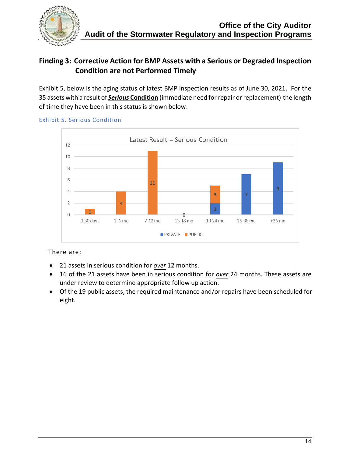

## **Finding 3: Corrective Action for BMP Assets with a Serious or Degraded Inspection Condition are not Performed Timely**

Exhibit 5, below is the aging status of latest BMP inspection results as of June 30, 2021. For the 35 assets with a result of *Serious* **Condition** (immediate need for repair or replacement) the length of time they have been in this status is shown below:



## Exhibit 5. Serious Condition

### There are:

- 21 assets in serious condition for *over* 12 months.
- 16 of the 21 assets have been in serious condition for *over* 24 months. These assets are under review to determine appropriate follow up action.
- Of the 19 public assets, the required maintenance and/or repairs have been scheduled for eight.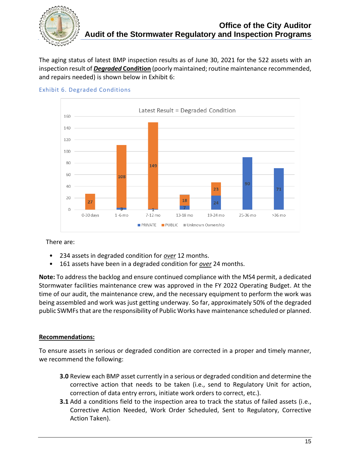

The aging status of latest BMP inspection results as of June 30, 2021 for the 522 assets with an inspection result of *Degraded* **Condition** (poorly maintained; routine maintenance recommended, and repairs needed) is shown below in Exhibit 6:



#### Exhibit 6. Degraded Conditions

### There are:

- 234 assets in degraded condition for *over* 12 months.
- 161 assets have been in a degraded condition for *over* 24 months.

**Note:** To address the backlog and ensure continued compliance with the MS4 permit, a dedicated Stormwater facilities maintenance crew was approved in the FY 2022 Operating Budget. At the time of our audit, the maintenance crew, and the necessary equipment to perform the work was being assembled and work was just getting underway. So far, approximately 50% of the degraded public SWMFs that are the responsibility of Public Works have maintenance scheduled or planned.

### **Recommendations:**

To ensure assets in serious or degraded condition are corrected in a proper and timely manner, we recommend the following:

- **3.0** Review each BMP asset currently in a serious or degraded condition and determine the corrective action that needs to be taken (i.e., send to Regulatory Unit for action, correction of data entry errors, initiate work orders to correct, etc.).
- **3.1** Add a conditions field to the inspection area to track the status of failed assets (i.e., Corrective Action Needed, Work Order Scheduled, Sent to Regulatory, Corrective Action Taken).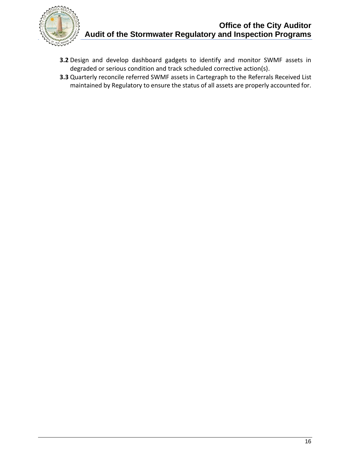

- **3.2** Design and develop dashboard gadgets to identify and monitor SWMF assets in degraded or serious condition and track scheduled corrective action(s).
- **3.3** Quarterly reconcile referred SWMF assets in Cartegraph to the Referrals Received List maintained by Regulatory to ensure the status of all assets are properly accounted for.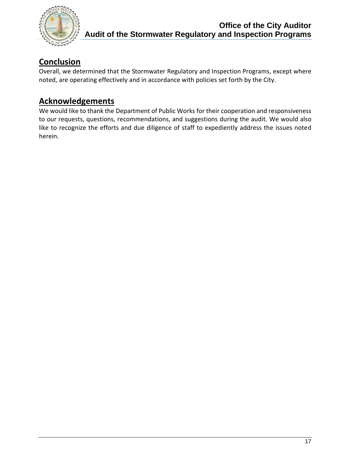

## **Conclusion**

Overall, we determined that the Stormwater Regulatory and Inspection Programs, except where noted, are operating effectively and in accordance with policies set forth by the City.

## **Acknowledgements**

We would like to thank the Department of Public Works for their cooperation and responsiveness to our requests, questions, recommendations, and suggestions during the audit. We would also like to recognize the efforts and due diligence of staff to expediently address the issues noted herein.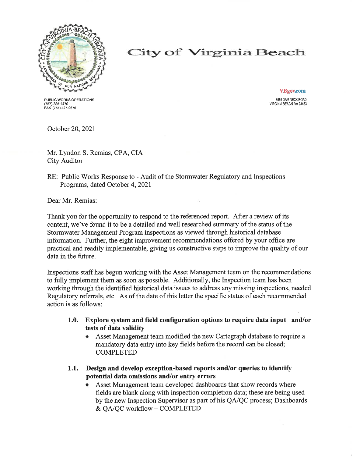

# City of Virginia Beach

PUBLIC WORKS OPERATIONS (757)-385-1470<br>FAX (757) 427-0676

**VBgov.com** 3556 DAM NECK ROAD VIRGINIA BEACH, VA 23453

October 20, 2021

Mr. Lyndon S. Remias, CPA, CIA **City Auditor** 

RE: Public Works Response to - Audit of the Stormwater Regulatory and Inspections Programs, dated October 4, 2021

Dear Mr. Remias:

Thank you for the opportunity to respond to the referenced report. After a review of its content, we've found it to be a detailed and well researched summary of the status of the Stormwater Management Program inspections as viewed through historical database information. Further, the eight improvement recommendations offered by your office are practical and readily implementable, giving us constructive steps to improve the quality of our data in the future.

Inspections staff has begun working with the Asset Management team on the recommendations to fully implement them as soon as possible. Additionally, the Inspection team has been working through the identified historical data issues to address any missing inspections, needed Regulatory referrals, etc. As of the date of this letter the specific status of each recommended action is as follows:

- $1.0.$ Explore system and field configuration options to require data input and/or tests of data validity
	- Asset Management team modified the new Cartegraph database to require a mandatory data entry into key fields before the record can be closed; **COMPLETED**
- Design and develop exception-based reports and/or queries to identify  $1.1.$ potential data omissions and/or entry errors
	- Asset Management team developed dashboards that show records where fields are blank along with inspection completion data; these are being used by the new Inspection Supervisor as part of his QA/QC process; Dashboards & QA/QC workflow - COMPLETED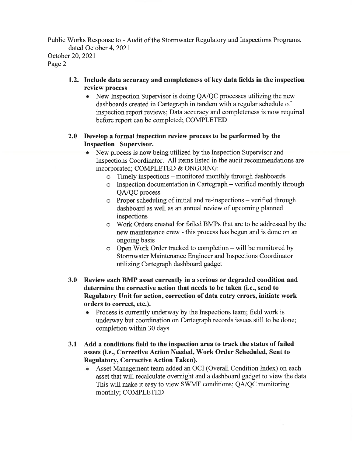Public Works Response to - Audit of the Stormwater Regulatory and Inspections Programs, dated October 4, 2021

October 20, 2021 Page 2

- 1.2. Include data accuracy and completeness of key data fields in the inspection review process
	- New Inspection Supervisor is doing  $QA/QC$  processes utilizing the new dashboards created in Cartegraph in tandem with a regular schedule of inspection report reviews; Data accuracy and completeness is now required before report can be completed; COMPLETED

### 2.0 Develop a formal inspection review process to be performed by the **Inspection Supervisor.**

- New process is now being utilized by the Inspection Supervisor and Inspections Coordinator. All items listed in the audit recommendations are incorporated; COMPLETED & ONGOING:
	- o Timely inspections monitored monthly through dashboards
	- o Inspection documentation in Cartegraph verified monthly through OA/OC process
	- o Proper scheduling of initial and re-inspections verified through dashboard as well as an annual review of upcoming planned inspections
	- o Work Orders created for failed BMPs that are to be addressed by the new maintenance crew - this process has begun and is done on an ongoing basis
	- o Open Work Order tracked to completion will be monitored by Stormwater Maintenance Engineer and Inspections Coordinator utilizing Cartegraph dashboard gadget
- 3.0 Review each BMP asset currently in a serious or degraded condition and determine the corrective action that needs to be taken (i.e., send to Regulatory Unit for action, correction of data entry errors, initiate work orders to correct, etc.).
	- Process is currently underway by the Inspections team; field work is underway but coordination on Cartegraph records issues still to be done; completion within 30 days
- $3.1$ Add a conditions field to the inspection area to track the status of failed assets (i.e., Corrective Action Needed, Work Order Scheduled, Sent to **Regulatory, Corrective Action Taken).** 
	- Asset Management team added an OCI (Overall Condition Index) on each asset that will recalculate overnight and a dashboard gadget to view the data. This will make it easy to view SWMF conditions; QA/QC monitoring monthly; COMPLETED